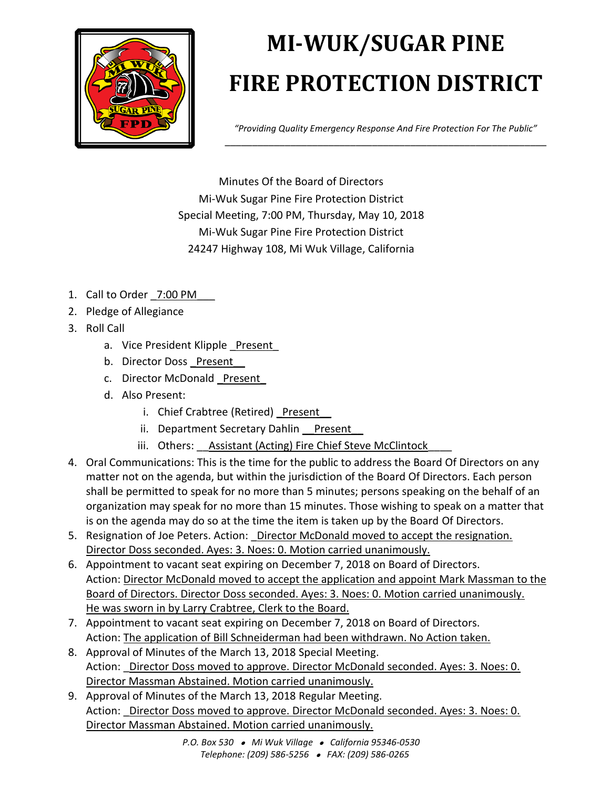

## **MI-WUK/SUGAR PINE FIRE PROTECTION DISTRICT**

*"Providing Quality Emergency Response And Fire Protection For The Public"* \_\_\_\_\_\_\_\_\_\_\_\_\_\_\_\_\_\_\_\_\_\_\_\_\_\_\_\_\_\_\_\_\_\_\_\_\_\_\_\_\_\_\_\_\_\_\_\_\_\_\_\_\_\_\_\_\_\_\_

Minutes Of the Board of Directors Mi-Wuk Sugar Pine Fire Protection District Special Meeting, 7:00 PM, Thursday, May 10, 2018 Mi-Wuk Sugar Pine Fire Protection District 24247 Highway 108, Mi Wuk Village, California

- 1. Call to Order 7:00 PM
- 2. Pledge of Allegiance
- 3. Roll Call
	- a. Vice President Klipple Present
	- b. Director Doss Present
	- c. Director McDonald Present
	- d. Also Present:
		- i. Chief Crabtree (Retired) Present
		- ii. Department Secretary Dahlin Present
		- iii. Others: Assistant (Acting) Fire Chief Steve McClintock
- 4. Oral Communications: This is the time for the public to address the Board Of Directors on any matter not on the agenda, but within the jurisdiction of the Board Of Directors. Each person shall be permitted to speak for no more than 5 minutes; persons speaking on the behalf of an organization may speak for no more than 15 minutes. Those wishing to speak on a matter that is on the agenda may do so at the time the item is taken up by the Board Of Directors.
- 5. Resignation of Joe Peters. Action: Director McDonald moved to accept the resignation. Director Doss seconded. Ayes: 3. Noes: 0. Motion carried unanimously.
- 6. Appointment to vacant seat expiring on December 7, 2018 on Board of Directors. Action: Director McDonald moved to accept the application and appoint Mark Massman to the Board of Directors. Director Doss seconded. Ayes: 3. Noes: 0. Motion carried unanimously. He was sworn in by Larry Crabtree, Clerk to the Board.
- 7. Appointment to vacant seat expiring on December 7, 2018 on Board of Directors. Action: The application of Bill Schneiderman had been withdrawn. No Action taken.
- 8. Approval of Minutes of the March 13, 2018 Special Meeting. Action: Director Doss moved to approve. Director McDonald seconded. Ayes: 3. Noes: 0. Director Massman Abstained. Motion carried unanimously.
- 9. Approval of Minutes of the March 13, 2018 Regular Meeting. Action: Director Doss moved to approve. Director McDonald seconded. Ayes: 3. Noes: 0. Director Massman Abstained. Motion carried unanimously.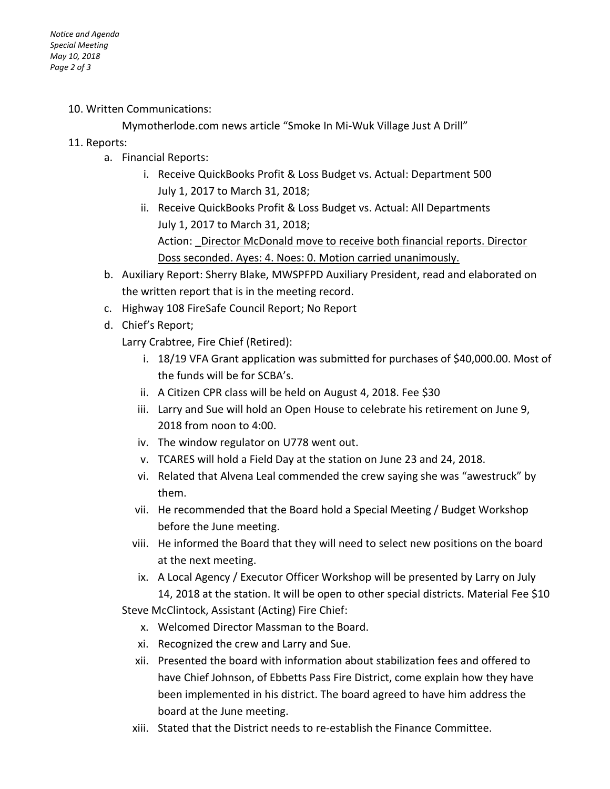10. Written Communications:

Mymotherlode.com news article "Smoke In Mi-Wuk Village Just A Drill"

## 11. Reports:

- a. Financial Reports:
	- i. Receive QuickBooks Profit & Loss Budget vs. Actual: Department 500 July 1, 2017 to March 31, 2018;
	- ii. Receive QuickBooks Profit & Loss Budget vs. Actual: All Departments July 1, 2017 to March 31, 2018; Action: Director McDonald move to receive both financial reports. Director Doss seconded. Ayes: 4. Noes: 0. Motion carried unanimously.
- b. Auxiliary Report: Sherry Blake, MWSPFPD Auxiliary President, read and elaborated on the written report that is in the meeting record.
- c. Highway 108 FireSafe Council Report; No Report
- d. Chief's Report;
	- Larry Crabtree, Fire Chief (Retired):
		- i. 18/19 VFA Grant application was submitted for purchases of \$40,000.00. Most of the funds will be for SCBA's.
		- ii. A Citizen CPR class will be held on August 4, 2018. Fee \$30
		- iii. Larry and Sue will hold an Open House to celebrate his retirement on June 9, 2018 from noon to 4:00.
		- iv. The window regulator on U778 went out.
		- v. TCARES will hold a Field Day at the station on June 23 and 24, 2018.
		- vi. Related that Alvena Leal commended the crew saying she was "awestruck" by them.
		- vii. He recommended that the Board hold a Special Meeting / Budget Workshop before the June meeting.
		- viii. He informed the Board that they will need to select new positions on the board at the next meeting.
		- ix. A Local Agency / Executor Officer Workshop will be presented by Larry on July 14, 2018 at the station. It will be open to other special districts. Material Fee \$10

Steve McClintock, Assistant (Acting) Fire Chief:

- x. Welcomed Director Massman to the Board.
- xi. Recognized the crew and Larry and Sue.
- xii. Presented the board with information about stabilization fees and offered to have Chief Johnson, of Ebbetts Pass Fire District, come explain how they have been implemented in his district. The board agreed to have him address the board at the June meeting.
- xiii. Stated that the District needs to re-establish the Finance Committee.